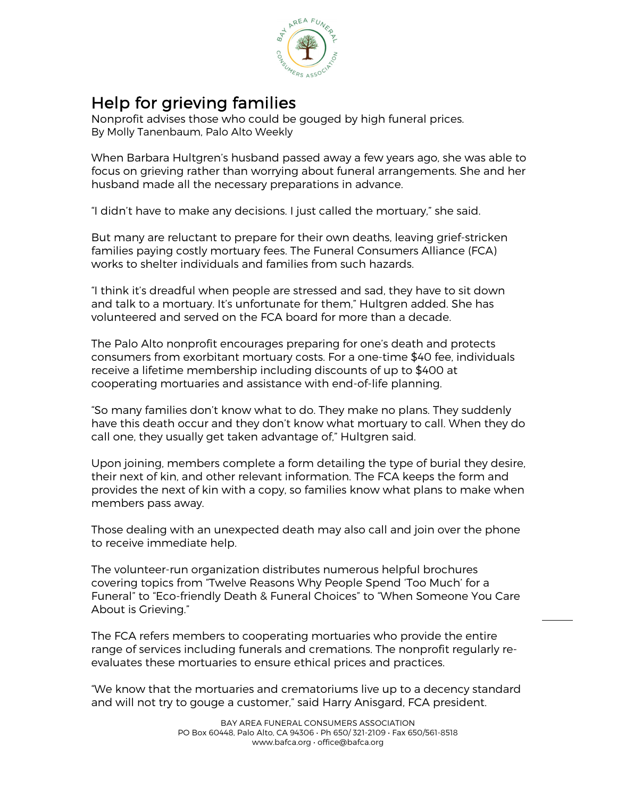

Help for grieving families<br>Nonprofit advises those who could be gouged by high funeral prices. By Molly Tanenbaum, Palo Alto Weekly

When Barbara Hultgren's husband passed away a few years ago, she was able to focus on grieving rather than worrying about funeral arrangements. She and her husband made all the necessary preparations in advance.

"I didn't have to make any decisions. I just called the mortuary," she said.

But many are reluctant to prepare for their own deaths, leaving grief-stricken families paying costly mortuary fees. The Funeral Consumers Alliance (FCA) works to shelter individuals and families from such hazards.

"I think it's dreadful when people are stressed and sad, they have to sit down and talk to a mortuary. It's unfortunate for them," Hultgren added. She has volunteered and served on the FCA board for more than a decade.

The Palo Alto nonprofit encourages preparing for one's death and protects consumers from exorbitant mortuary costs. For a one-time \$40 fee, individuals receive a lifetime membership including discounts of up to \$400 at cooperating mortuaries and assistance with end-of-life planning.

"So many families don't know what to do. They make no plans. They suddenly have this death occur and they don't know what mortuary to call. When they do call one, they usually get taken advantage of," Hultgren said.

Upon joining, members complete a form detailing the type of burial they desire, their next of kin, and other relevant information. The FCA keeps the form and provides the next of kin with a copy, so families know what plans to make when members pass away.

Those dealing with an unexpected death may also call and join over the phone to receive immediate help.

The volunteer-run organization distributes numerous helpful brochures covering topics from "Twelve Reasons Why People Spend 'Too Much' for a Funeral" to "Eco-friendly Death & Funeral Choices" to "When Someone You Care About is Grieving."

The FCA refers members to cooperating mortuaries who provide the entire range of services including funerals and cremations. The nonprofit regularly reevaluates these mortuaries to ensure ethical prices and practices.

"We know that the mortuaries and crematoriums live up to a decency standard and will not try to gouge a customer," said Harry Anisgard, FCA president.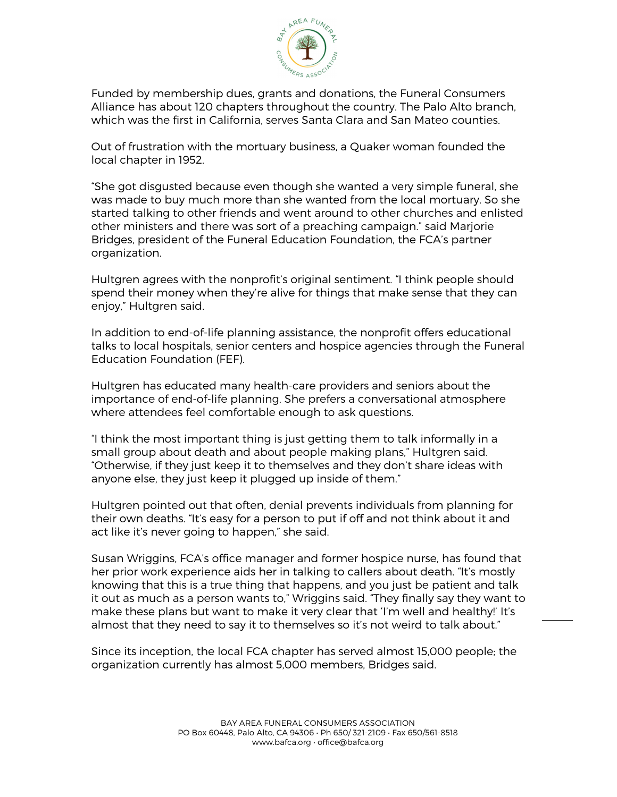

Funded by membership dues, grants and donations, the Funeral Consumers Alliance has about 120 chapters throughout the country. The Palo Alto branch, which was the first in California, serves Santa Clara and San Mateo counties.

Out of frustration with the mortuary business, a Quaker woman founded the local chapter in 1952.

"She got disgusted because even though she wanted a very simple funeral, she was made to buy much more than she wanted from the local mortuary. So she started talking to other friends and went around to other churches and enlisted other ministers and there was sort of a preaching campaign." said Marjorie Bridges, president of the Funeral Education Foundation, the FCA's partner organization.

Hultgren agrees with the nonprofit's original sentiment. "I think people should spend their money when they're alive for things that make sense that they can enjoy," Hultgren said.

In addition to end-of-life planning assistance, the nonprofit offers educational talks to local hospitals, senior centers and hospice agencies through the Funeral Education Foundation (FEF).

Hultgren has educated many health-care providers and seniors about the importance of end-of-life planning. She prefers a conversational atmosphere where attendees feel comfortable enough to ask questions.

"I think the most important thing is just getting them to talk informally in a small group about death and about people making plans," Hultgren said. "Otherwise, if they just keep it to themselves and they don't share ideas with anyone else, they just keep it plugged up inside of them."

Hultgren pointed out that often, denial prevents individuals from planning for their own deaths. "It's easy for a person to put if off and not think about it and act like it's never going to happen," she said.

Susan Wriggins, FCA's office manager and former hospice nurse, has found that her prior work experience aids her in talking to callers about death. "It's mostly knowing that this is a true thing that happens, and you just be patient and talk it out as much as a person wants to," Wriggins said. "They finally say they want to make these plans but want to make it very clear that 'I'm well and healthy!' It's almost that they need to say it to themselves so it's not weird to talk about."

Since its inception, the local FCA chapter has served almost 15,000 people; the organization currently has almost 5,000 members, Bridges said.